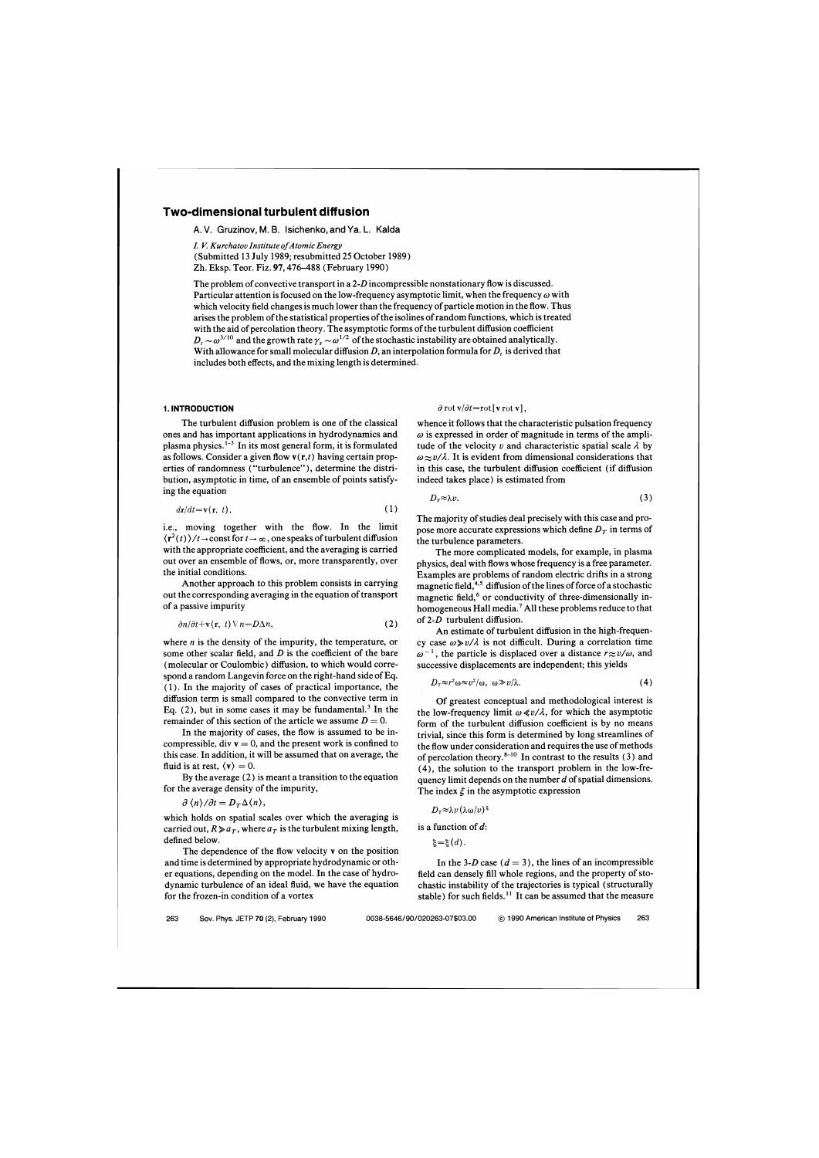# **Two-dimensional turbulent diffusion**

A. V. Gruzinov, M. B. Isichenko, and Ya. L. Kalda

*I. V. Kurchatov Institute ofAtomic Energy*  (Submitted 13 July 1989; resubmitted *25* October 1989) Zh. Eksp. Teor. Fiz. 97,476-488 (February 1990)

The problem of convective transport in a *2-0* incompressible nonstationary flow is discussed. Particular attention is focused on the low-frequency asymptotic limit, when the frequency  $\omega$  with which velocity field changes is much lower than the frequency of particle motion in the flow. Thus arises the problem of the statistical properties of the isolines of random functions, which is treated with the aid of percolation theory. The asymptotic forms of the turbulent diffusion coefficient  $D_t \sim \omega^{3/10}$  and the growth rate  $\gamma_s \sim \omega^{1/2}$  of the stochastic instability are obtained analytically. With allowance for small molecular diffusion *D,* an interpolation formula for *D,* is derived that includes both effects, and the mixing length is determined.

The turbulent diffusion problem is one of the classical whence it follows that the characteristic pulsation frequency ones and has important applications in hydrodynamics and  $\omega$  is expressed in order of magnitude in ter plasma physics.<sup>1-3</sup> In its most general form, it is formulated tude of the velocity v and characteristic spatial scale  $\lambda$  by as follows. Consider a given flow  $\mathbf{v}(\mathbf{r},t)$  having certain prop-<br>exaction  $\omega \approx v/\lambda$ . It is evident from dimensional considerations that<br>erties of randomness ("turbulence"), determine the distri-<br>in this case, the t bution, asymptotic in time, of an ensemble of points satisfy- indeed takes place) is estimated from

$$
d\mathbf{r}/dt = \mathbf{v}(\mathbf{r}, t),\tag{1}
$$

i.e., moving together with the flow. In the limit  $\langle \mathbf{r}^2(t) \rangle / t \rightarrow \text{const}$  for  $t \rightarrow \infty$ , one speaks of turbulent diffusion with the appropriate coefficient, and the averaging is carried out over an ensemble of flows, or, more transparently, over the initial conditions.

Another approach to this problem consists in carrying out the corresponding averaging in the equation of transport of a passive impurity

$$
\frac{\partial n}{\partial t} + \mathbf{v}(\mathbf{r}, t) \nabla n = D \Delta n, \tag{2}
$$

where *n* is the density of the impurity, the temperature, or some other scalar field, and *D* is the coefficient of the bare (molecular or Coulombic) diffusion, to which would correspond a random Langevin force on the right-hand side of Eq. ( 1). In the majority of cases of practical importance, the diffusion term is small compared to the convective term in Eq.  $(2)$ , but in some cases it may be fundamental.<sup>3</sup> In the remainder of this section of the article we assume  $D = 0$ .

In the majority of cases, the flow is assumed to be incompressible, div  $v = 0$ , and the present work is confined to this case. In addition, it will be assumed that on average, the fluid is at rest,  $\langle v \rangle = 0$ .

By the average (2) is meant a transition to the equation for the average density of the impurity,

$$
\partial \langle n \rangle / \partial t = D_T \Delta \langle n \rangle,
$$

which holds on spatial scales over which the averaging is carried out,  $R \ge a_T$ , where  $a_T$  is the turbulent mixing length, defined below.

The dependence of the flow velocity v on the position and time is determined by appropriate hydrodynamic or other equations, depending on the model. In the case of hydrodynamic turbulence of an ideal fluid, we have the equation for the frozen-in condition of a vortex

# **1. INTRODUCTION**  $\partial \text{rot} \sqrt{\partial t} = \text{rot} [\text{v} \text{rot} \text{v}],$

 $\omega$  is expressed in order of magnitude in terms of the ampliin this case, the turbulent diffusion coefficient (if diffusion

ing the equation 
$$
D_T \approx \lambda v
$$
. (3)

The majority of studies deal precisely with this case and propose more accurate expressions which define  $D<sub>T</sub>$  in terms of the turbulence parameters.

The more complicated models, for example, in plasma physics, deal with flows whose frequency is a free parameter. Examples are problems of random electric drifts in a strong magnetic field,  $4.5$  diffusion of the lines of force of a stochastic magnetic field,<sup>6</sup> or conductivity of three-dimensionally inhomogeneous Hall media.<sup>7</sup> All these problems reduce to that of *2-0* turbulent diffusion.

An estimate of turbulent diffusion in the high-frequency case  $\omega \gg v/\lambda$  is not difficult. During a correlation time  $\omega^{-1}$ , the particle is displaced over a distance  $r \approx v/\omega$ , and successive displacements are independent; this yields

$$
D_{\tau} \approx r^2 \omega \approx v^2/\omega, \quad \omega \gg v/\lambda. \tag{4}
$$

Of greatest conceptual and methodological interest is the low-frequency limit  $\omega \ll v/\lambda$ , for which the asymptotic form of the turbulent diffusion coefficient is by no means trivial, since this form is determined by long streamlines of the flow under consideration and requires the use of methods of percolation theory.<sup>8-10</sup> In contrast to the results (3) and (4), the solution to the transport problem in the low-frequency limit depends on the number  $d$  of spatial dimensions. The index  $\xi$  in the asymptotic expression

$$
D_{\scriptscriptstyle T} {\approx} \lambda v \left( \lambda\omega/v \right)
$$

is a function of d:

 $\xi = \xi$   $(d)$ .

In the 3-D case  $(d = 3)$ , the lines of an incompressible field can densely fill whole regions, and the property of stochastic instability of the trajectories is typical (structurally stable) for such fields.<sup>11</sup> It can be assumed that the measure

263 Sov. Phys. JETP 70 **(2),** February 1990 **0038-5646/90/020263-07\$03.00** @ 1990 American Institute of Physics 263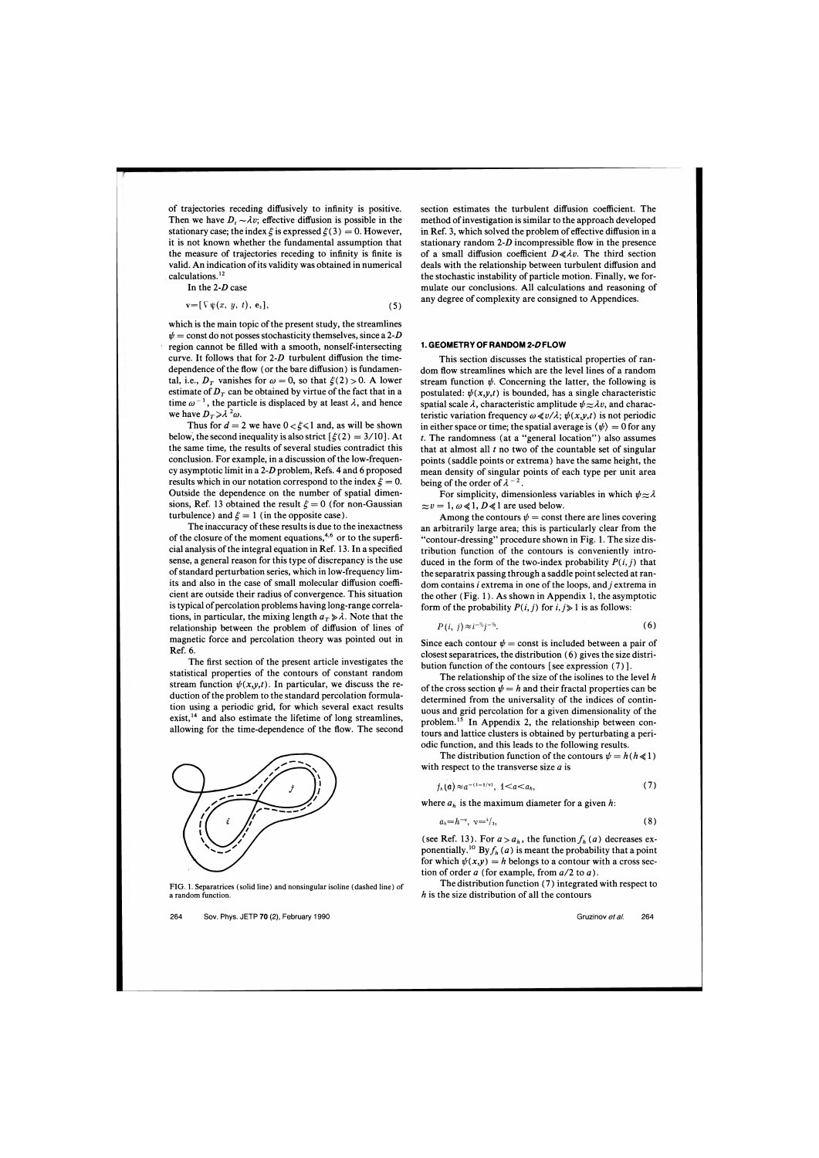of trajectories receding diffusively to infinity is positive. Then we have  $D_t \sim \lambda v$ ; effective diffusion is possible in the stationary case; the index  $\xi$  is expressed  $\xi(3) = 0$ . However, it is not known whether the fundamental assumption that the measure of trajectories receding to infinity is finite is valid. An indication of its validity was obtained in numerical calculations. **l2** 

In the  $2-D$  case

$$
\mathbf{v} = [\nabla \psi(x, y, t), \mathbf{e}_z], \tag{5}
$$

which is the main topic of the present study, the streamlines  $\psi$  = const do not posses stochasticity themselves, since a 2-D region cannot be filled with a smooth, nonself-intersecting curve. It follows that for  $2-D$  turbulent diffusion the timedependence of the flow (or the bare diffusion) is fundamental, i.e.,  $D_T$  vanishes for  $\omega = 0$ , so that  $\xi(2) > 0$ . A lower estimate of  $D<sub>T</sub>$  can be obtained by virtue of the fact that in a time  $\omega^{-1}$ , the particle is displaced by at least  $\lambda$ , and hence we have  $D_T \ge \lambda^2 \omega$ .

Thus for  $d = 2$  we have  $0 < \xi \le 1$  and, as will be shown below, the second inequality is also strict  $\lceil \xi(2) \rceil = 3/10$ . At the same time, the results of several studies contradict this conclusion. For example, in a discussion of the low-frequency asymptotic limit in a  $2-D$  problem, Refs. 4 and 6 proposed results which in our notation correspond to the index  $\xi = 0$ . Outside the dependence on the number of spatial dimensions, Ref. 13 obtained the result  $\xi = 0$  (for non-Gaussian turbulence) and  $\xi = 1$  (in the opposite case).

The inaccuracy of these results is due to the inexactness of the closure of the moment equations,<sup> $4,6$ </sup> or to the superficial analysis of the integral equation in Ref. 13. In a specified sense, a general reason for this type of discrepancy is the use of standard perturbation series, which in low-frequency limits and also in the case of small molecular diffusion coefficient are outside their radius of convergence. This situation is typical of percolation problems having long-range correlations, in particular, the mixing length  $a<sub>T</sub> \ge \lambda$ . Note that the relationship between the problem of diffusion of lines of magnetic force and percolation theory was pointed out in Ref. 6.

The first section of the present article investigates the statistical properties of the contours of constant random stream function  $\psi(x,y,t)$ . In particular, we discuss the reduction of the problem to the standard percolation formulation using a periodic grid, for which several exact results exist, $14$  and also estimate the lifetime of long streamlines, allowing for the time-dependence of the flow. The second



section estimates the turbulent diffusion coefficient. The method of investigation is similar to the approach developed in Ref. **3,** which solved the problem of effective diffusion in a stationary random  $2-D$  incompressible flow in the presence of a small diffusion coefficient  $D \ll \lambda v$ . The third section deals with the relationship between turbulent diffusion and the stochastic instability of particle motion. Finally, we formulate our conclusions. All calculations and reasoning of any degree of complexity are consigned to Appendices.

### **1. GEOMETRY OF RANDOM 2-0 FLOW**

This section discusses the statistical properties of random flow streamlines which are the level lines of a random stream function  $\psi$ . Concerning the latter, the following is postulated:  $\psi(x,y,t)$  is bounded, has a single characteristic spatial scale  $\lambda$ , characteristic amplitude  $\psi \approx \lambda v$ , and characteristic variation frequency  $\omega \ll v/\lambda$ ;  $\psi(x,y,t)$  is not periodic in either space or time; the spatial average is  $\langle \psi \rangle = 0$  for any *t.* The randomness (at a "general location") also assumes that at almost all  $t$  no two of the countable set of singular points (saddle points or extrema) have the same height, the mean density of singular points of each type per unit area being of the order of  $\lambda^{-2}$ .

For simplicity, dimensionless variables in which  $\psi \approx \lambda$  $\approx v = 1, \omega \ll 1, D \ll 1$  are used below.

Among the contours  $\psi$  = const there are lines covering an arbitrarily large area; this is particularly clear from the "contour-dressing" procedure shown in Fig. 1. The size distribution function of the contours is conveniently introduced in the form of the two-index probability  $P(i, j)$  that the separatrix passing through a saddle point selected at random contains i extrema in one of the loops, and j extrema in the other (Fig. 1). As shown in Appendix 1, the asymptotic form of the probability  $P(i, j)$  for  $i, j \ge 1$  is as follows:

$$
P(i, j) \approx i^{-\frac{q}{2}} i^{-\frac{q}{2}}.\tag{6}
$$

Since each contour  $\psi$  = const is included between a pair of closest separatrices, the distribution (6) gives the size distribution function of the contours [see expression (7)].

The relationship of the size of the isolines to the level  $h$ of the cross section  $\psi = h$  and their fractal properties can be determined from the universality of the indices of continuous and grid percolation for a given dimensionality of the problem.'5 In Appendix 2, the relationship between contours and lattice clusters is obtained by perturbating a periodic function, and this leads to the following results.

The distribution function of the contours  $\psi = h(h \ll 1)$ with respect to the transverse size  $a$  is

$$
f_h(a) \approx a^{-(1-1/\nu)}, \quad 1 \leq a \leq a_h,\tag{7}
$$

where  $a_h$  is the maximum diameter for a given h:

$$
a_h=h^{-\nu}, \quad \nu=\nu_3,\tag{8}
$$

(see Ref. 13). For  $a > a_h$ , the function  $f_h(a)$  decreases exponentially.<sup>10</sup> By  $f<sub>h</sub>(a)$  is meant the probability that a point for which  $\psi(x,y) = h$  belongs to a contour with a cross section of order  $a$  (for example, from  $a/2$  to  $a$ ).

FIG. 1. Separatrices (solid line) and nonsingular isoline (dashed line) of The distribution function (7) integrated with respect to a random function.  $h$  is the size distribution of all the contours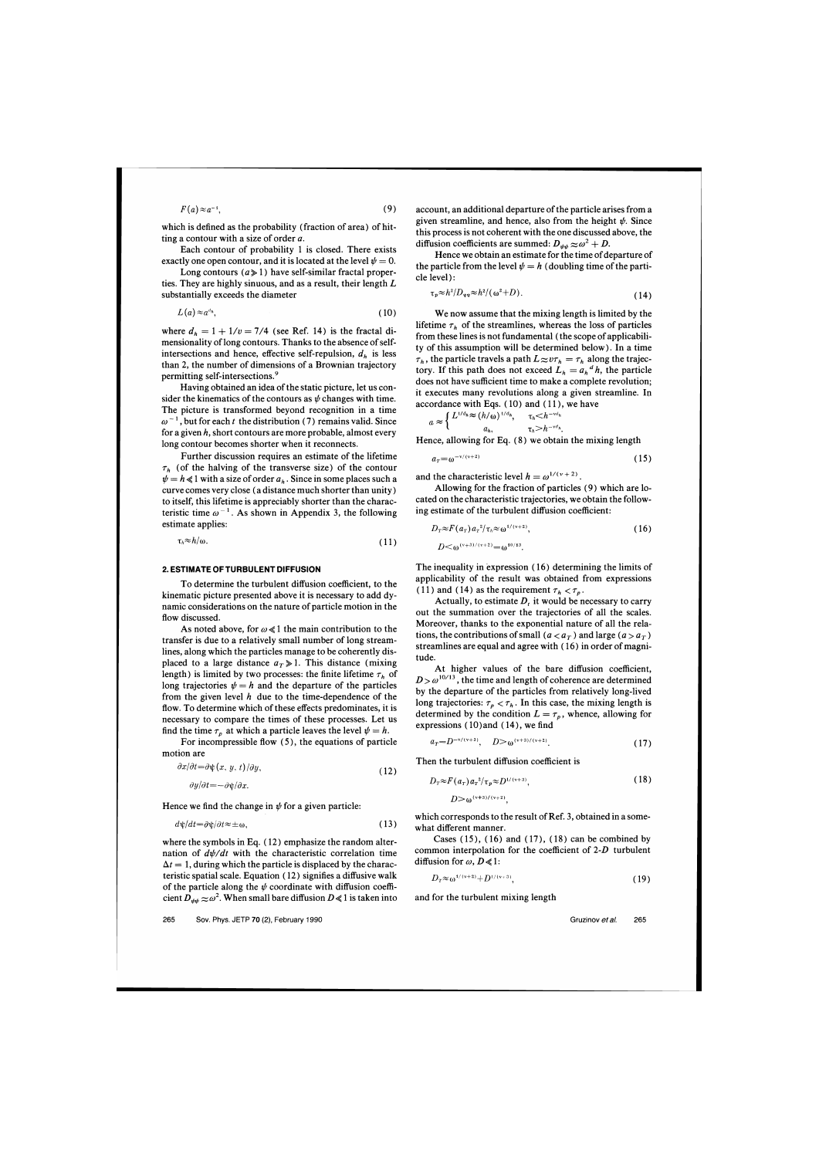$$
F(a) \approx a^{-1}, \tag{9}
$$

which is defined as the probability (fraction of area) of hitting a contour with a size of order a.

Each contour of probability 1 is closed. There exists exactly one open contour, and it is located at the level  $\psi = 0$ .

Long contours  $(a \ge 1)$  have self-similar fractal properties. They are highly sinuous, and as a result, their length  $L$ substantially exceeds the diameter

$$
L(a) \approx a^{d_n},\tag{10}
$$

where  $d_h = 1 + 1/v = 7/4$  (see Ref. 14) is the fractal dimensionality of long contours. Thanks to the absence of selfintersections and hence, effective self-repulsion,  $d<sub>h</sub>$  is less than 2, the number of dimensions of a Brownian trajectory permitting self-intersections.<sup>9</sup>

Having obtained an idea of the static picture, let us consider the kinematics of the contours as  $\psi$  changes with time. The picture is transformed beyond recognition in a time  $\omega^{-1}$ , but for each t the distribution (7) remains valid. Since for a given *h,* short contours are more probable, almost every long contour becomes shorter when it reconnects.

Further discussion requires an estimate of the lifetime  $\tau_h$  (of the halving of the transverse size) of the contour  $\psi = h \ll 1$  with a size of order  $a_h$ . Since in some places such a curve comes very close (a distance much shorter than unity) to itself, this lifetime is appreciably shorter than the characteristic time  $\omega^{-1}$ . As shown in Appendix 3, the following estimate applies:

$$
\tau_h \approx h/\omega. \tag{11}
$$

# **2. ESTIMATE OFTURBULENT DIFFUSION**

To determine the turbulent diffusion coefficient, to the kinematic picture presented above it is necessary to add dynamic considerations on the nature of particle motion in the flow discussed.

As noted above, for  $\omega \ll 1$  the main contribution to the transfer is due to a relatively small number of long streamlines, along which the particles manage to be coherently displaced to a large distance  $a<sub>T</sub> \ge 1$ . This distance (mixing length) is limited by two processes: the finite lifetime  $\tau_h$  of long trajectories  $\psi = h$  and the departure of the particles from the given level  $h$  due to the time-dependence of the flow. To determine which of these effects predominates, it is necessary to compare the times of these processes. Let us find the time  $\tau_p$  at which a particle leaves the level  $\psi = h$ .

For incompressible flow (5), the equations of particle motion are

$$
\frac{\partial x}{\partial t} = \frac{\partial \psi(x, y, t)}{\partial y},\tag{12}
$$

$$
\frac{\partial y}{\partial t} = -\frac{\partial \psi}{\partial x}.
$$

Hence we find the change in  $\psi$  for a given particle:

$$
d\psi/dt = \partial\psi/\partial t \approx \pm \omega,\tag{13}
$$

where the symbols in Eq. ( 12) emphasize the random alternation of  $d\psi/dt$  with the characteristic correlation time  $\Delta t = 1$ , during which the particle is displaced by the characteristic spatial scale. Equation ( 12) signifies a diffusive walk of the particle along the  $\psi$  coordinate with diffusion coefficient  $D_{\psi\psi} \approx \omega^2$ . When small bare diffusion  $D \ll 1$  is taken into account, an additional departure of the particle arises from a given streamline, and hence, also from the height  $\psi$ . Since this process is not coherent with the one discussed above, the diffusion coefficients are summed:  $D_{\psi\psi} \approx \omega^2 + D$ .

Hence we obtain an estimate for the time of departure of the particle from the level  $\psi = h$  (doubling time of the particle level) :

$$
\tau_p \approx h^2/D_{\psi\psi} \approx h^2/(\omega^2 + D). \tag{14}
$$

We now assume that the mixing length is limited by the lifetime  $\tau_h$  of the streamlines, whereas the loss of particles from these lines is not fundamental (the scope of applicability of this assumption will be determined below). In a time  $\tau_h$ , the particle travels a path  $L \approx v \tau_h = \tau_h$  along the trajectory. If this path does not exceed  $L_h = a_h^d h$ , the particle does not have sufficient time to make a complete revolution; it executes many revolutions along a given streamline. In accordance with Eqs.  $(10)$  and  $(11)$ , we have

$$
a \approx \begin{cases} L^{1/d_h} \approx (h/\omega)^{1/d_h}, & \tau_h < h^{-\nu d_h} \\ a_h, & \tau_h > h^{-\nu d_h} \end{cases}
$$

Hence, allowing for Eq. **(8)** we obtain the mixing length

$$
a_r = \omega^{-\nu/(\nu+2)} \tag{15}
$$

and the characteristic level  $h = \omega^{1/(v+2)}$ .

Allowing for the fraction of particles (9) which are located on the characteristic trajectories, we obtain the following estimate of the turbulent diffusion coefficient:

$$
D_T \approx F(a_T) a_T^2 / \tau_h \approx \omega^{1/(\nu+2)},
$$
  
\n
$$
D \le \omega^{(\nu+3)/(\nu+2)} - \omega^{10/13}
$$
\n(16)

The inequality in expression ( 16) determining the limits of applicability of the result was obtained from expressions (11) and (14) as the requirement  $\tau_h < \tau_p$ .

Actually, to estimate  $D<sub>t</sub>$  it would be necessary to carry out the summation over the trajectories of all the scales. Moreover, thanks to the exponential nature of all the relations, the contributions of small ( $a < a<sub>T</sub>$ ) and large ( $a > a<sub>T</sub>$ ) streamlines are equal and agree with ( 16) in order of magnitude.

At higher values of the bare diffusion coefficient,  $D > \omega^{10/13}$ , the time and length of coherence are determined by the departure of the particles from relatively long-lived long trajectories:  $\tau_p < \tau_h$ . In this case, the mixing length is determined by the condition  $L = \tau_p$ , whence, allowing for expressions ( 10)and ( 14), we find

$$
a_r = D^{-\nu/(\nu+3)}, \quad D > \omega^{(\nu+3)/(\nu+2)}.\tag{17}
$$

Then the turbulent diffusion coefficient is

$$
D_T \approx F(a_T) a_T^{2} / \tau_p \approx D^{1/(\nu+3)},
$$
  
\n
$$
D \gg \omega^{(\nu+3)/(\nu+2)}.
$$
\n(18)

which corresponds to the result of Ref. 3, obtained in a somewhat different manner.

Cases  $(15)$ ,  $(16)$  and  $(17)$ ,  $(18)$  can be combined by common interpolation for the coefficient of  $2-D$  turbulent diffusion for  $\omega$ ,  $D \ll 1$ :

$$
D_{\tau} \approx \omega^{1/(v+2)} + D^{1/(v+3)}.\tag{19}
$$

and for the turbulent mixing length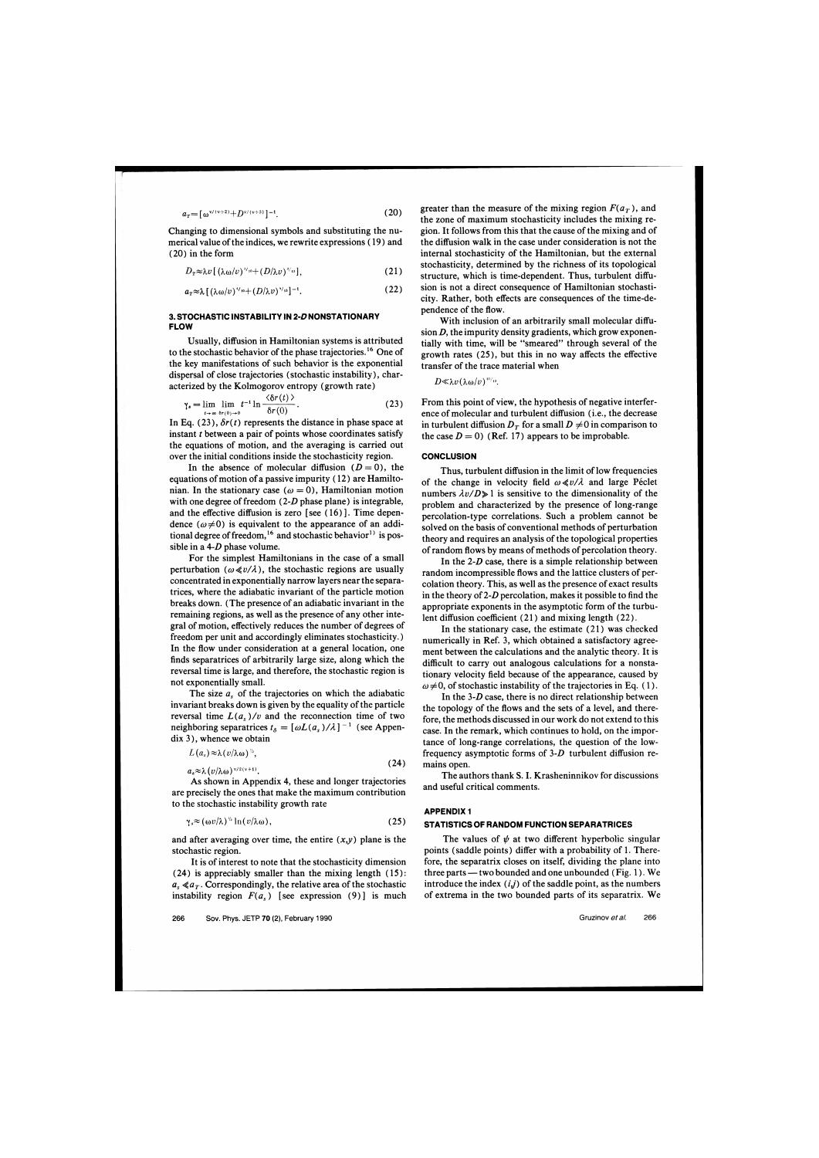$$
a_r = \lceil \omega^{\nu/(\nu+2)} + D^{\nu/(\nu+3)} \rceil^{-1}.
$$
 (20)

Changing to dimensional symbols and substituting the numerical value of the indices, we rewrite expressions ( 19) and (20) in the form

$$
D_{\tau} \approx \lambda v \left[ \left( \lambda \omega / v \right)^{s_{\prime} \cdot o} + \left( D / \lambda v \right)^{s_{\prime} \cdot o} \right], \tag{21}
$$

$$
a_{\mathit{t}} \approx \lambda \left[ \left( \lambda \omega / \nu \right)^{\mathit{t}} \mathit{t} + \left( D / \lambda \nu \right)^{\mathit{t}} \mathit{t} \mathit{s} \right]^{-1} . \tag{22}
$$

# **3. STOCHASTIC INSTABILITY 1N 2-DNONSTATIONARY FLOW**

Usually, diffusion in Hamiltonian systems is attributed to the stochastic behavior of the phase trajectories.<sup>16</sup> One of the key manifestations of such behavior is the exponential dispersal of close trajectories (stochastic instability), characterized by the Kolmogorov entropy (growth rate)

$$
\gamma_{\bullet} = \lim_{t \to \infty} \lim_{b \uparrow (0) \to 0} t^{-1} \ln \frac{\langle \delta r(t) \rangle}{\delta r(0)}.
$$
 (23)

In Eq. (23),  $\delta r(t)$  represents the distance in phase space at instant *t* between a pair of points whose coordinates satisfy the equations of motion, and the averaging is carried out over the initial conditions inside the stochasticity region.

In the absence of molecular diffusion  $(D = 0)$ , the equations of motion of a passive impurity ( 12) are Hamiltonian. In the stationary case ( $\omega = 0$ ), Hamiltonian motion with one degree of freedom  $(2-D)$  phase plane) is integrable, and the effective diffusion is zero [see (16)]. Time dependence  $(\omega \neq 0)$  is equivalent to the appearance of an additional degree of freedom,<sup>16</sup> and stochastic behavior<sup>1)</sup> is possible in a  $4-D$  phase volume.

For the simplest Hamiltonians in the case of a small perturbation ( $\omega \ll v/\lambda$ ), the stochastic regions are usually concentrated in exponentially narrow layers near the separatrices, where the adiabatic invariant of the particle motion breaks down. (The presence of an adiabatic invariant in the remaining regions, as well as the presence of any other integral of motion, effectively reduces the number of degrees of freedom per unit and accordingly eliminates stochasticity. ) In the flow under consideration at a general location, one finds separatrices of arbitrarily large size, along which the reversal time is large, and therefore, the stochastic region is not exponentially small.

The size  $a<sub>s</sub>$  of the trajectories on which the adiabatic invariant breaks down is given by the equality of the particle reversal time  $L(a_s)/v$  and the reconnection time of two neighboring separatrices  $t_{\delta} = [\omega L(a_s)/\lambda]^{-1}$  (see Appendix 3), whence we obtain

 $L(a_s) \approx \lambda (v/\lambda \omega)^{\frac{1}{2}}$ 

$$
a_s \approx \lambda \left( \frac{v}{\lambda \omega} \right)^{\frac{v}{2}(v+1)}.
$$

As shown in Appendix 4, these and longer trajectories are precisely the ones that make the maximum contribution to the stochastic instability growth rate

$$
\gamma_s \approx (\omega v/\lambda)^{\frac{1}{2}} \ln(v/\lambda \omega), \qquad (25)
$$

and after averaging over time, the entire  $(x,y)$  plane is the stochastic region.

It is of interest to note that the stochasticity dimension  $(24)$  is appreciably smaller than the mixing length  $(15)$ :  $a_{s} \ll a_{T}$ . Correspondingly, the relative area of the stochastic instability region  $F(a<sub>s</sub>)$  [see expression (9)] is much greater than the measure of the mixing region  $F(a_T)$ , and the zone of maximum stochasticity includes the mixing region. It follows from this that the cause of the mixing and of the diffusion walk in the case under consideration is not the internal stochasticity of the Hamiltonian, but the external stochasticity, determined by the richness of its topological structure, which is time-dependent. Thus, turbulent diffusion is not a direct consequence of Hamiltonian stochasticity. Rather, both effects are consequences of the time-dependence of the flow.

With inclusion of an arbitrarily small molecular diffusion  $D$ , the impurity density gradients, which grow exponentially with time, will be "smeared" through several of the growth rates (25), but this in no way affects the effective transfer of the trace material when

 $D \ll \lambda v (\lambda \omega/v)^{10/y}$ .

From this point of view, the hypothesis of negative interference of molecular and turbulent diffusion (i.e., the decrease in turbulent diffusion  $D_T$  for a small  $D \neq 0$  in comparison to the case  $D = 0$ ) (Ref. 17) appears to be improbable.

## **CONCLUSION**

Thus, turbulent diffusion in the limit of low frequencies of the change in velocity field  $\omega \ll v/\lambda$  and large Péclet numbers  $\lambda v/D \gg 1$  is sensitive to the dimensionality of the problem and characterized by the presence of long-range percolation-type correlations. Such a problem cannot be solved on the basis of conventional methods of perturbation theory and requires an analysis of the topological properties of random flows by means of methods of percolation theory.

In the  $2-D$  case, there is a simple relationship between random incompressible flows and the lattice clusters of percolation theory. This, as well as the presence of exact results in the theory of 2-D percolation, makes it possible to find the appropriate exponents in the asymptotic form of the turbulent diffusion coefficient  $(21)$  and mixing length  $(22)$ .

In the stationary case, the estimate (21) was checked numerically in Ref. 3, which obtained a satisfactory agreement between the calculations and the analytic theory. It is difficult to carry out analogous calculations for a nonstationary velocity field because of the appearance, caused by  $\omega \neq 0$ , of stochastic instability of the trajectories in Eq. (1).

In the *3-0* case, there is no direct relationship between the topology of the flows and the sets of a level, and therefore, the methods discussed in our work do not extend to this case. In the remark, which continues to hold, on the importance of long-range correlations, the question of the lowfrequency asymptotic forms of *3-0* turbulent diffusion remains open.

The authors thank S. I. Krasheninnikov for discussions and useful critical comments.

#### **APPENDIX 1**

#### **STATISTICS OF RANDOM FUNCTION SEPARATRICES**

The values of  $\psi$  at two different hyperbolic singular points (saddle points) differ with a probability of 1. Therefore, the separatrix closes on itself, dividing the plane into three parts — two bounded and one unbounded (Fig. 1). We introduce the index  $(i, j)$  of the saddle point, as the numbers of extrema in the two bounded parts of its separatrix. We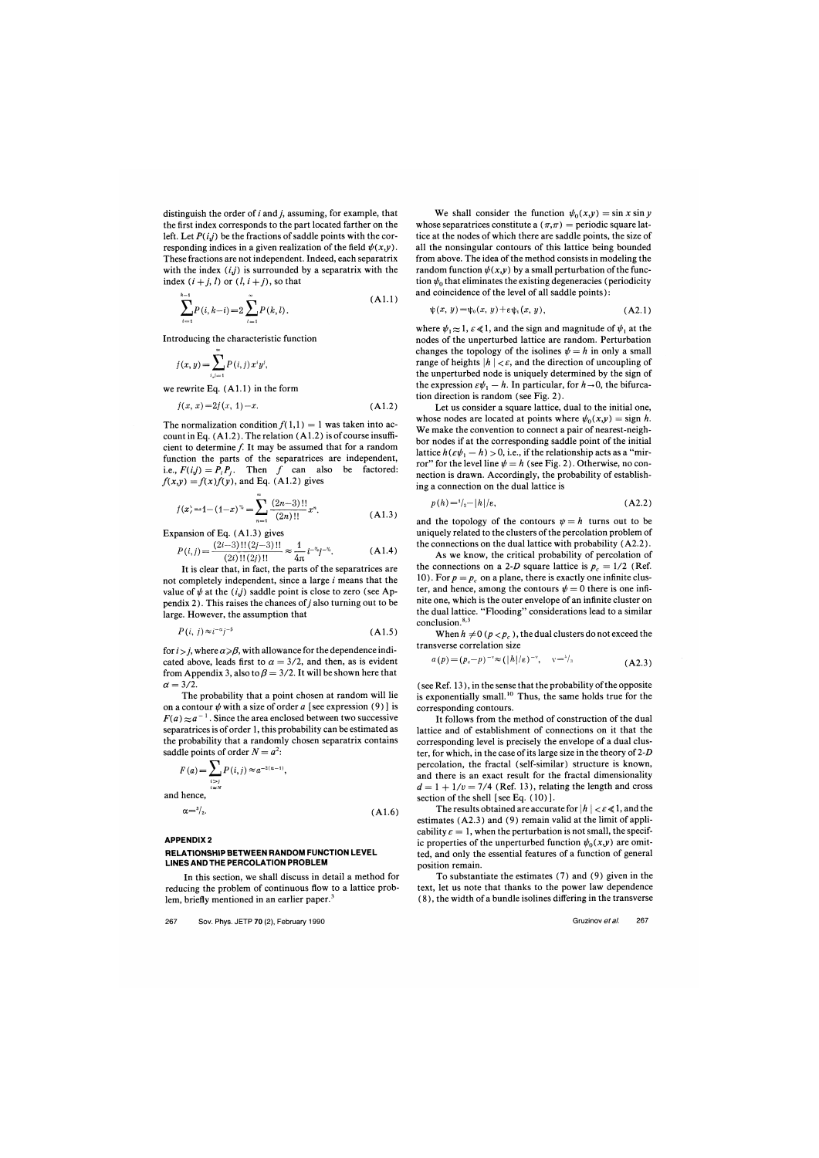distinguish the order of  $i$  and  $j$ , assuming, for example, that the first index corresponds to the part located farther on the left. Let  $P(i,j)$  be the fractions of saddle points with the corresponding indices in a given realization of the field  $\psi(x,y)$ . These fractions are not independent. Indeed, each separatrix with the index  $(i,j)$  is surrounded by a separatrix with the index  $(i + j, l)$  or  $(l, i + j)$ , so that

$$
\sum_{i=1}^{k-1} P(i, k-i) = 2 \sum_{i=1}^{\infty} P(k, l).
$$
 (A1.1)

Introducing the characteristic function

$$
f(x, y) = \sum_{i,j=1} P(i,j) x^i y^j,
$$

we rewrite Eq.  $(A1.1)$  in the form

$$
f(x, x) = 2f(x, 1) - x.
$$
 (A1.2)

The normalization condition  $f(1,1) = 1$  was taken into account in Eq.  $(A1.2)$ . The relation  $(A1.2)$  is of course insufficient to determine  $f$ . It may be assumed that for a random function the parts of the separatrices are independent, i.e.,  $F(i,j) = P_i P_j$ . Then f can also be factored:  $f(x,y) = f(x)f(y)$ , and Eq. (A1.2) gives

$$
f(x) = 1 - (1 - x)^{\frac{n}{2}} = \sum_{n=1}^{\infty} \frac{(2n-3)!!}{(2n)!!} x^n.
$$
 (A1.3)

Expansion of Eq. (A1.3) gives

$$
P(i,j) = \frac{(2i-3)!!(2j-3)!!}{(2i)!!(2j)!!} \approx \frac{1}{4\pi} i^{-\nu_2} j^{-\nu_2}.
$$
 (A1.4)

It is clear that, in fact, the parts of the separatrices are not completely independent, since a large  $i$  means that the value of  $\psi$  at the  $(i,j)$  saddle point is close to zero (see Appendix 2). This raises the chances of  $j$  also turning out to be large. However, the assumption that

$$
P(i, j) \approx i^{-\alpha}j^{-\beta} \tag{A1.5}
$$

for  $i > j$ , where  $\alpha \ge \beta$ , with allowance for the dependence indicated above, leads first to  $\alpha = 3/2$ , and then, as is evident from Appendix 3, also to  $\beta = 3/2$ . It will be shown here that  $\alpha = 3/2$ .

The probability that a point chosen at random will lie on a contour  $\psi$  with a size of order a [see expression (9)] is  $F(a) \approx a^{-1}$ . Since the area enclosed between two successive separatrices is of order 1, this probability can be estimated as the probability that a randomly chosen separatrix contains saddle points of order  $N = a^2$ .

$$
F(a) = \sum_{\substack{i>j \\ i \neq N}} P(i, j) \approx a^{-2(\alpha - 1)},
$$
  
and hence,

$$
\alpha = \frac{3}{2}.\tag{A1.6}
$$

#### **APPENDIX 2**

# **RELATlONSHlP BETWEEN RANDOM FUNCTION LEVEL LINES ANDTHE PERCOLATION PROBLEM**

In this section, we shall discuss in detail a method for reducing the problem of continuous flow to a lattice problem, briefly mentioned in an earlier paper. $3$ 

We shall consider the function  $\psi_0(x,y) = \sin x \sin y$ whose separatrices constitute a  $(\pi,\pi)$  = periodic square lattice at the nodes of which there are saddle points, the size of all the nonsingular contours of this lattice being bounded from above. The idea of the method consists in modeling the random function  $\psi(x,y)$  by a small perturbation of the function  $\psi_0$  that eliminates the existing degeneracies (periodicity and coincidence of the level of all saddle points) :

$$
\psi(x, y) = \psi_0(x, y) + \varepsilon \psi_1(x, y), \qquad (A2.1)
$$

where  $\psi_1 \approx 1$ ,  $\varepsilon \ll 1$ , and the sign and magnitude of  $\psi_1$  at the nodes of the unperturbed lattice are random. Perturbation changes the topology of the isolines  $\psi = h$  in only a small range of heights  $|h| < \varepsilon$ , and the direction of uncoupling of the unperturbed node is uniquely determined by the sign of the expression  $\varepsilon \psi_1 - h$ . In particular, for  $h \to 0$ , the bifurcation direction is random (see Fig. 2).

Let us consider a square lattice, dual to the initial one, whose nodes are located at points where  $\psi_0(x,y) = \text{sign } h$ . We make the convention to connect a pair of nearest-neighbor nodes if at the corresponding saddle point of the initial lattice  $h(\varepsilon\psi_1 - h) > 0$ , i.e., if the relationship acts as a "mirror" for the level line  $\psi = h$  (see Fig. 2). Otherwise, no connection is drawn. Accordingly, the probability of establishing a connection on the dual lattice is

$$
p(h) = \frac{1}{2} - \left| h \right| / \varepsilon, \tag{A2.2}
$$

and the topology of the contours  $\psi = h$  turns out to be uniquely related to the clusters of the percolation problem of the connections on the dual lattice with probability (A2.2).

As we know, the critical probability of percolation of the connections on a 2-D square lattice is  $p_c = 1/2$  (Ref. 10). For  $p = p_c$  on a plane, there is exactly one infinite cluster, and hence, among the contours  $\psi = 0$  there is one infinite one, which is the outer envelope of an infinite cluster on the dual lattice. "Flooding" considerations lead to a similar conclusion.

When  $h \neq 0$  ( $p < p_c$ ), the dual clusters do not exceed the transverse correlation size

$$
a(p) = (p_c - p)^{-\nu} \approx (|h|/\varepsilon)^{-\nu}, \quad \nu = \frac{1}{3}
$$
 (A2.3)

(see Ref. 13), in the sense that the probability of the opposite is exponentially small.<sup>10</sup> Thus, the same holds true for the corresponding contours.

It follows from the method of construction of the dual lattice and of establishment of connections on it that the corresponding level is precisely the envelope of a dual cluster, for which, in the case of its large size in the theory of  $2-D$ percolation, the fractal (self-similar) structure is known, and there is an exact result for the fractal dimensionality  $d = 1 + 1/v = 7/4$  (Ref. 13), relating the length and cross section of the shell [see **Eq.** ( 10) 1.

The results obtained are accurate for  $|h| < \varepsilon \le 1$ , and the estimates (A2.3) and (9) remain valid at the limit of applicability  $\varepsilon = 1$ , when the perturbation is not small, the specific properties of the unperturbed function  $\psi_0(x,y)$  are omitted, and only the essential features of a function of general position remain.

To substantiate the estimates (7) and (9) given in the text, let us note that thanks to the power law dependence (8), the width of a bundle isolines differing in the transverse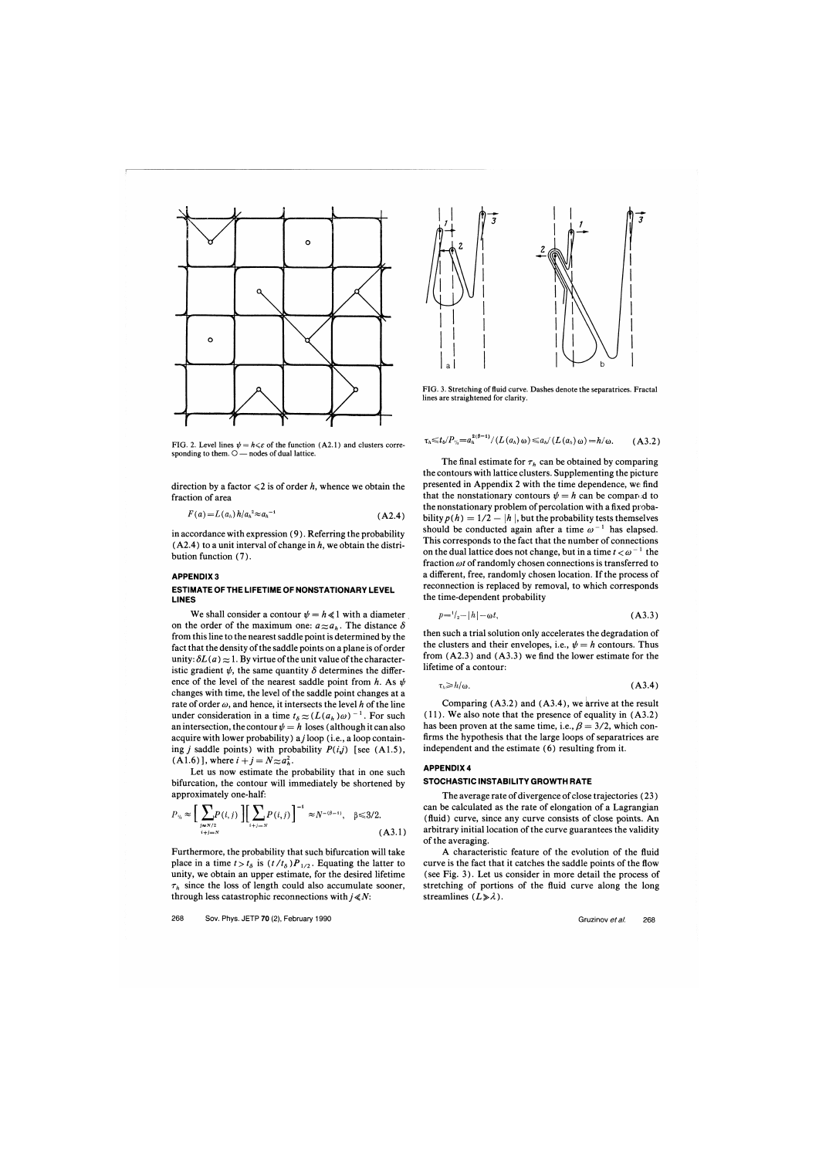

**FIG. 2. Level lines**  $\psi = h \leq \varepsilon$  **of the function (A2.1) and clusters corre**sponding to them.  $\bigcirc$  — nodes of dual lattice.

direction by a factor  $\leq 2$  is of order h, whence we obtain the fraction of area

$$
F(a) = L(a_h) h/a_h^2 \approx a_h^{-1}
$$
 (A2.4)

in accordance with expression (9). Referring the probability  $(A2.4)$  to a unit interval of change in h, we obtain the distribution function **(7).** 

# **APPENDIX 3**

### **ESTIMATE OFTHE LIFETIME OF NONSTATIONARY LEVEL LINES**

We shall consider a contour  $\psi = h \ll 1$  with a diameter on the order of the maximum one:  $a_{\approx}a_h$ . The distance  $\delta$ from this line to the nearest saddle point is determined by the fact that the density of the saddle points on a plane is of order unity:  $\delta L(a) \approx 1$ . By virtue of the unit value of the characteristic gradient  $\psi$ , the same quantity  $\delta$  determines the difference of the level of the nearest saddle point from h. As  $\psi$ changes with time, the level of the saddle point changes at a rate of order  $\omega$ , and hence, it intersects the level h of the line under consideration in a time  $t_{\delta} \approx (L(a_h) \omega)^{-1}$ . For such an intersection, the contour  $\psi = h$  loses (although it can also acquire with lower probability)  $a_j$  loop (i.e., a loop containing *j* saddle points) with probability  $P(i,j)$  [see (A1.5),  $(A1.6)$ , where  $i + j = N \approx a_k^2$ .

Let us now estimate the probability that in one such bifurcation, the contour will immediately be shortened by approximately one-half:

$$
P_{\nu_i} \approx \Big[ \sum_{\substack{j \approx N/2 \\ i+j=N}} P(i,j) \Big] \Big[ \sum_{i+j=N} P(i,j) \Big]^{-1} \approx N^{-(\beta-1)}, \quad \beta \le 3/2.
$$
 (A3.1)

Furthermore, the probability that such bifurcation will take place in a time  $t > t_\delta$  is  $(t/t_\delta)P_{1/2}$ . Equating the latter to unity, we obtain an upper estimate, for the desired lifetime  $\tau_h$  since the loss of length could also accumulate sooner, through less catastrophic reconnections with  $j \ll N$ :



**FIG. 3. Stretching of fluid curve. Dashes denote the separatrices. Fractal lines are straightened for clarity.** 

$$
\tau_h \leq t_b \cdot (P_{\nu_h} = a_h^{2(\beta-1)} / (L(a_h) \omega) \leq a_h / (L(a_h) \omega) = h/\omega.
$$
 (A3.2)

The final estimate for  $\tau_h$  can be obtained by comparing the contours with lattice clusters. Supplementing the picture presented in Appendix 2 with the time dependence, we find that the nonstationary contours  $\psi = h$  can be compared to the nonstationary problem of percolation with a fixed probability  $p(h) = 1/2 - |h|$ , but the probability tests themselves should be conducted again after a time  $\omega^{-1}$  has elapsed. This corresponds to the fact that the number of connections on the dual lattice does not change, but in a time  $t < \omega^{-1}$  the fraction  $\omega t$  of randomly chosen connections is transferred to a different, free, randomly chosen location. If the process of reconnection is replaced by removal, to which corresponds the time-dependent probability

$$
p = \frac{1}{2} - |h| - \omega t, \tag{A3.3}
$$

then such a trial solution only accelerates the degradation of the clusters and their envelopes, i.e.,  $\psi = h$  contours. Thus from (A2.3) and (A3.3) we find the lower estimate for the lifetime of a contour:

$$
\zeta_h \ge h/\omega. \tag{A3.4}
$$

Comparing  $(A3.2)$  and  $(A3.4)$ , we arrive at the result  $(11)$ . We also note that the presence of equality in  $(A3.2)$ has been proven at the same time, i.e.,  $\beta = 3/2$ , which confirms the hypothesis that the large loops of separatrices are independent and the estimate (6) resulting from it.

# **APPENDIX 4**

#### **STOCHASTIC INSTABILITY GROWTH RATE**

The average rate of divergence of close trajectories (23) can be calculated as the rate of elongation of a Lagrangian (fluid) curve, since any curve consists of close points. An arbitrary initial location of the curve guarantees the validity of the averaging.

A characteristic feature of the evolution of the fluid curve is the fact that it catches the saddle points of the flow (see Fig. 3). Let us consider in more detail the process of stretching of portions of the fluid curve along the long streamlines  $(L \ge \lambda)$ .